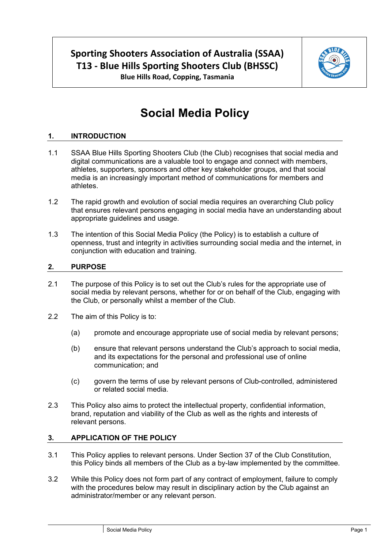# **Sporting Shooters Association of Australia (SSAA) T13 - Blue Hills Sporting Shooters Club (BHSSC)**



**Blue Hills Road, Copping, Tasmania**

# **Social Media Policy**

# **1. INTRODUCTION**

- 1.1 SSAA Blue Hills Sporting Shooters Club (the Club) recognises that social media and digital communications are a valuable tool to engage and connect with members, athletes, supporters, sponsors and other key stakeholder groups, and that social media is an increasingly important method of communications for members and athletes.
- 1.2 The rapid growth and evolution of social media requires an overarching Club policy that ensures relevant persons engaging in social media have an understanding about appropriate guidelines and usage.
- 1.3 The intention of this Social Media Policy (the Policy) is to establish a culture of openness, trust and integrity in activities surrounding social media and the internet, in conjunction with education and training.

### **2. PURPOSE**

- 2.1 The purpose of this Policy is to set out the Club's rules for the appropriate use of social media by relevant persons, whether for or on behalf of the Club, engaging with the Club, or personally whilst a member of the Club.
- 2.2 The aim of this Policy is to:
	- (a) promote and encourage appropriate use of social media by relevant persons;
	- (b) ensure that relevant persons understand the Club's approach to social media, and its expectations for the personal and professional use of online communication; and
	- (c) govern the terms of use by relevant persons of Club-controlled, administered or related social media.
- 2.3 This Policy also aims to protect the intellectual property, confidential information, brand, reputation and viability of the Club as well as the rights and interests of relevant persons.

#### **3. APPLICATION OF THE POLICY**

- 3.1 This Policy applies to relevant persons. Under Section 37 of the Club Constitution, this Policy binds all members of the Club as a by-law implemented by the committee.
- 3.2 While this Policy does not form part of any contract of employment, failure to comply with the procedures below may result in disciplinary action by the Club against an administrator/member or any relevant person.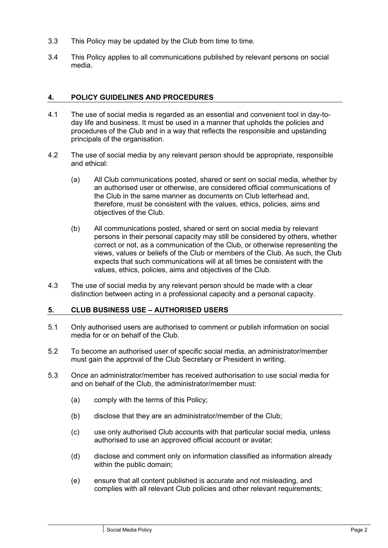- 3.3 This Policy may be updated by the Club from time to time.
- 3.4 This Policy applies to all communications published by relevant persons on social media.

#### **4. POLICY GUIDELINES AND PROCEDURES**

- 4.1 The use of social media is regarded as an essential and convenient tool in day-today life and business. It must be used in a manner that upholds the policies and procedures of the Club and in a way that reflects the responsible and upstanding principals of the organisation.
- 4.2 The use of social media by any relevant person should be appropriate, responsible and ethical:
	- (a) All Club communications posted, shared or sent on social media, whether by an authorised user or otherwise, are considered official communications of the Club in the same manner as documents on Club letterhead and, therefore, must be consistent with the values, ethics, policies, aims and objectives of the Club.
	- (b) All communications posted, shared or sent on social media by relevant persons in their personal capacity may still be considered by others, whether correct or not, as a communication of the Club, or otherwise representing the views, values or beliefs of the Club or members of the Club. As such, the Club expects that such communications will at all times be consistent with the values, ethics, policies, aims and objectives of the Club.
- 4.3 The use of social media by any relevant person should be made with a clear distinction between acting in a professional capacity and a personal capacity.

# **5. CLUB BUSINESS USE – AUTHORISED USERS**

- 5.1 Only authorised users are authorised to comment or publish information on social media for or on behalf of the Club.
- <span id="page-1-0"></span>5.2 To become an authorised user of specific social media, an administrator/member must gain the approval of the Club Secretary or President in writing.
- 5.3 Once an administrator/member has received authorisation to use social media for and on behalf of the Club, the administrator/member must:
	- (a) comply with the terms of this Policy;
	- (b) disclose that they are an administrator/member of the Club;
	- (c) use only authorised Club accounts with that particular social media, unless authorised to use an approved official account or avatar;
	- (d) disclose and comment only on information classified as information already within the public domain;
	- (e) ensure that all content published is accurate and not misleading, and complies with all relevant Club policies and other relevant requirements;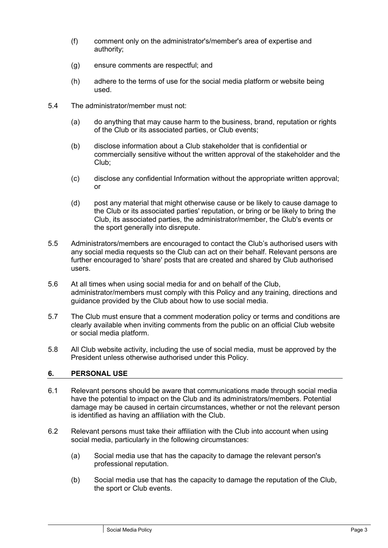- (f) comment only on the administrator's/member's area of expertise and authority;
- (g) ensure comments are respectful; and
- (h) adhere to the terms of use for the social media platform or website being used.
- 5.4 The administrator/member must not:
	- (a) do anything that may cause harm to the business, brand, reputation or rights of the Club or its associated parties, or Club events;
	- (b) disclose information about a Club stakeholder that is confidential or commercially sensitive without the written approval of the stakeholder and the Club;
	- (c) disclose any confidential Information without the appropriate written approval; or
	- (d) post any material that might otherwise cause or be likely to cause damage to the Club or its associated parties' reputation, or bring or be likely to bring the Club, its associated parties, the administrator/member, the Club's events or the sport generally into disrepute.
- 5.5 Administrators/members are encouraged to contact the Club's authorised users with any social media requests so the Club can act on their behalf. Relevant persons are further encouraged to 'share' posts that are created and shared by Club authorised users.
- 5.6 At all times when using social media for and on behalf of the Club, administrator/members must comply with this Policy and any training, directions and guidance provided by the Club about how to use social media.
- 5.7 The Club must ensure that a comment moderation policy or terms and conditions are clearly available when inviting comments from the public on an official Club website or social media platform.
- 5.8 All Club website activity, including the use of social media, must be approved by the President unless otherwise authorised under this Policy.

# **6. PERSONAL USE**

- 6.1 Relevant persons should be aware that communications made through social media have the potential to impact on the Club and its administrators/members. Potential damage may be caused in certain circumstances, whether or not the relevant person is identified as having an affiliation with the Club.
- 6.2 Relevant persons must take their affiliation with the Club into account when using social media, particularly in the following circumstances:
	- (a) Social media use that has the capacity to damage the relevant person's professional reputation.
	- (b) Social media use that has the capacity to damage the reputation of the Club, the sport or Club events.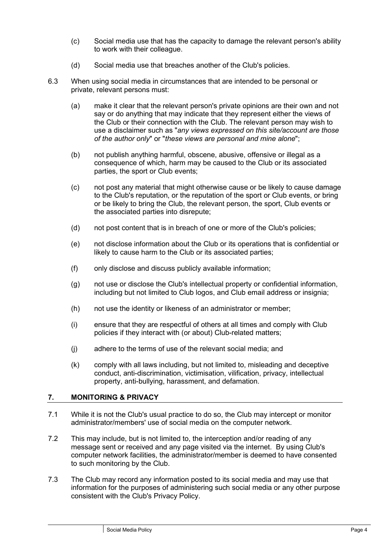- (c) Social media use that has the capacity to damage the relevant person's ability to work with their colleague.
- (d) Social media use that breaches another of the Club's policies.
- 6.3 When using social media in circumstances that are intended to be personal or private, relevant persons must:
	- (a) make it clear that the relevant person's private opinions are their own and not say or do anything that may indicate that they represent either the views of the Club or their connection with the Club. The relevant person may wish to use a disclaimer such as "*any views expressed on this site/account are those of the author only*" or "*these views are personal and mine alone*";
	- (b) not publish anything harmful, obscene, abusive, offensive or illegal as a consequence of which, harm may be caused to the Club or its associated parties, the sport or Club events;
	- (c) not post any material that might otherwise cause or be likely to cause damage to the Club's reputation, or the reputation of the sport or Club events, or bring or be likely to bring the Club, the relevant person, the sport, Club events or the associated parties into disrepute;
	- (d) not post content that is in breach of one or more of the Club's policies;
	- (e) not disclose information about the Club or its operations that is confidential or likely to cause harm to the Club or its associated parties;
	- (f) only disclose and discuss publicly available information;
	- (g) not use or disclose the Club's intellectual property or confidential information, including but not limited to Club logos, and Club email address or insignia;
	- (h) not use the identity or likeness of an administrator or member;
	- (i) ensure that they are respectful of others at all times and comply with Club policies if they interact with (or about) Club-related matters;
	- (j) adhere to the terms of use of the relevant social media; and
	- (k) comply with all laws including, but not limited to, misleading and deceptive conduct, anti-discrimination, victimisation, vilification, privacy, intellectual property, anti-bullying, harassment, and defamation.

# **7. MONITORING & PRIVACY**

- 7.1 While it is not the Club's usual practice to do so, the Club may intercept or monitor administrator/members' use of social media on the computer network.
- 7.2 This may include, but is not limited to, the interception and/or reading of any message sent or received and any page visited via the internet. By using Club's computer network facilities, the administrator/member is deemed to have consented to such monitoring by the Club.
- 7.3 The Club may record any information posted to its social media and may use that information for the purposes of administering such social media or any other purpose consistent with the Club's Privacy Policy.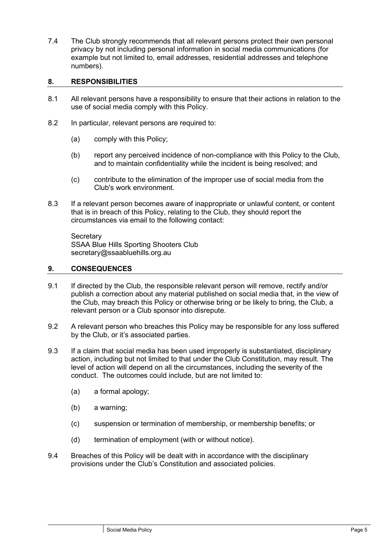7.4 The Club strongly recommends that all relevant persons protect their own personal privacy by not including personal information in social media communications (for example but not limited to, email addresses, residential addresses and telephone numbers).

### **8. RESPONSIBILITIES**

- 8.1 All relevant persons have a responsibility to ensure that their actions in relation to the use of social media comply with this Policy.
- 8.2 In particular, relevant persons are required to:
	- (a) comply with this Policy;
	- (b) report any perceived incidence of non-compliance with this Policy to the Club, and to maintain confidentiality while the incident is being resolved; and
	- (c) contribute to the elimination of the improper use of social media from the Club's work environment.
- 8.3 If a relevant person becomes aware of inappropriate or unlawful content, or content that is in breach of this Policy, relating to the Club, they should report the circumstances via email to the following contact:

**Secretary** SSAA Blue Hills Sporting Shooters Club secretary@ssaabluehills.org.au

#### **9. CONSEQUENCES**

- 9.1 If directed by the Club, the responsible relevant person will remove, rectify and/or publish a correction about any material published on social media that, in the view of the Club, may breach this Policy or otherwise bring or be likely to bring, the Club, a relevant person or a Club sponsor into disrepute.
- 9.2 A relevant person who breaches this Policy may be responsible for any loss suffered by the Club, or it's associated parties.
- 9.3 If a claim that social media has been used improperly is substantiated, disciplinary action, including but not limited to that under the Club Constitution, may result. The level of action will depend on all the circumstances, including the severity of the conduct. The outcomes could include, but are not limited to:
	- (a) a formal apology;
	- (b) a warning;
	- (c) suspension or termination of membership, or membership benefits; or
	- (d) termination of employment (with or without notice).
- 9.4 Breaches of this Policy will be dealt with in accordance with the disciplinary provisions under the Club's Constitution and associated policies.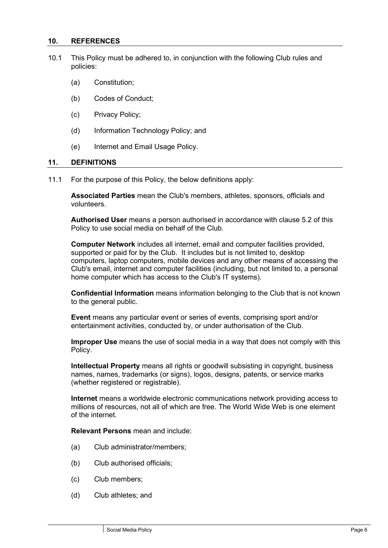#### **10. REFERENCES**

- 10.1 This Policy must be adhered to, in conjunction with the following Club rules and policies:
	- (a) Constitution;
	- (b) Codes of Conduct;
	- (c) Privacy Policy;
	- (d) Information Technology Policy; and
	- (e) Internet and Email Usage Policy.

#### **11. DEFINITIONS**

11.1 For the purpose of this Policy, the below definitions apply:

**Associated Parties** mean the Club's members, athletes, sponsors, officials and volunteers.

**Authorised User** means a person authorised in accordance with clause [5.2](#page-1-0) of this Policy to use social media on behalf of the Club.

**Computer Network** includes all internet, email and computer facilities provided, supported or paid for by the Club. It includes but is not limited to, desktop computers, laptop computers, mobile devices and any other means of accessing the Club's email, internet and computer facilities (including, but not limited to, a personal home computer which has access to the Club's IT systems).

**Confidential Information** means information belonging to the Club that is not known to the general public.

**Event** means any particular event or series of events, comprising sport and/or entertainment activities, conducted by, or under authorisation of the Club.

**Improper Use** means the use of social media in a way that does not comply with this Policy.

**Intellectual Property** means all rights or goodwill subsisting in copyright, business names, names, trademarks (or signs), logos, designs, patents, or service marks (whether registered or registrable).

**Internet** means a worldwide electronic communications network providing access to millions of resources, not all of which are free. The World Wide Web is one element of the internet.

**Relevant Persons** mean and include:

- (a) Club administrator/members;
- (b) Club authorised officials;
- (c) Club members;
- (d) Club athletes; and